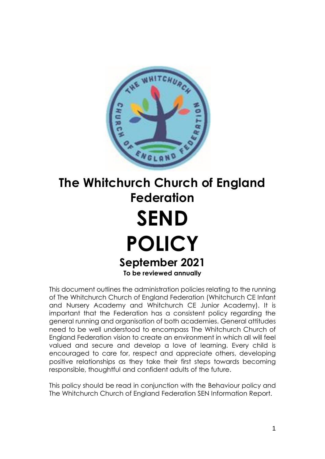

# **The Whitchurch Church of England Federation SEND POLICY September 2021 To be reviewed annually**

This document outlines the administration policies relating to the running of The Whitchurch Church of England Federation (Whitchurch CE Infant and Nursery Academy and Whitchurch CE Junior Academy). It is important that the Federation has a consistent policy regarding the general running and organisation of both academies. General attitudes need to be well understood to encompass The Whitchurch Church of England Federation vision to create an environment in which all will feel valued and secure and develop a love of learning. Every child is encouraged to care for, respect and appreciate others, developing positive relationships as they take their first steps towards becoming responsible, thoughtful and confident adults of the future.

This policy should be read in conjunction with the Behaviour policy and The Whitchurch Church of England Federation SEN Information Report.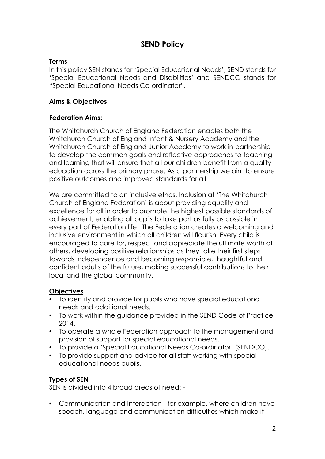# **SEND Policy**

## **Terms**

In this policy SEN stands for 'Special Educational Needs', SEND stands for 'Special Educational Needs and Disabilities' and SENDCO stands for "Special Educational Needs Co-ordinator".

## **Aims & Objectives**

#### **Federation Aims:**

The Whitchurch Church of England Federation enables both the Whitchurch Church of England Infant & Nursery Academy and the Whitchurch Church of England Junior Academy to work in partnership to develop the common goals and reflective approaches to teaching and learning that will ensure that all our children benefit from a quality education across the primary phase. As a partnership we aim to ensure positive outcomes and improved standards for all.

We are committed to an inclusive ethos. Inclusion at 'The Whitchurch Church of England Federation' is about providing equality and excellence for all in order to promote the highest possible standards of achievement, enabling all pupils to take part as fully as possible in every part of Federation life. The Federation creates a welcoming and inclusive environment in which all children will flourish. Every child is encouraged to care for, respect and appreciate the ultimate worth of others, developing positive relationships as they take their first steps towards independence and becoming responsible, thoughtful and confident adults of the future, making successful contributions to their local and the global community.

#### **Objectives**

- To identify and provide for pupils who have special educational needs and additional needs.
- To work within the guidance provided in the SEND Code of Practice, 2014.
- To operate a whole Federation approach to the management and provision of support for special educational needs.
- To provide a 'Special Educational Needs Co-ordinator' (SENDCO).
- To provide support and advice for all staff working with special educational needs pupils.

# **Types of SEN**

SEN is divided into 4 broad areas of need: -

• Communication and Interaction - for example, where children have speech, language and communication difficulties which make it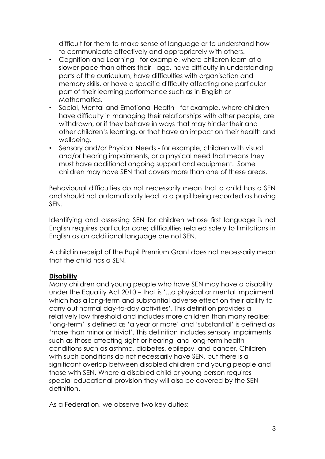difficult for them to make sense of language or to understand how to communicate effectively and appropriately with others.

- Cognition and Learning for example, where children learn at a slower pace than others their age, have difficulty in understanding parts of the curriculum, have difficulties with organisation and memory skills, or have a specific difficulty affecting one particular part of their learning performance such as in English or Mathematics.
- Social, Mental and Emotional Health for example, where children have difficulty in managing their relationships with other people, are withdrawn, or if they behave in ways that may hinder their and other children's learning, or that have an impact on their health and wellbeing.
- Sensory and/or Physical Needs for example, children with visual and/or hearing impairments, or a physical need that means they must have additional ongoing support and equipment. Some children may have SEN that covers more than one of these areas.

Behavioural difficulties do not necessarily mean that a child has a SEN and should not automatically lead to a pupil being recorded as having SEN.

Identifying and assessing SEN for children whose first language is not English requires particular care; difficulties related solely to limitations in English as an additional language are not SEN.

A child in receipt of the Pupil Premium Grant does not necessarily mean that the child has a SEN.

#### **Disability**

Many children and young people who have SEN may have a disability under the Equality Act 2010 – that is '...a physical or mental impairment which has a long-term and substantial adverse effect on their ability to carry out normal day-to-day activities'. This definition provides a relatively low threshold and includes more children than many realise: 'long-term' is defined as 'a year or more' and 'substantial' is defined as 'more than minor or trivial'. This definition includes sensory impairments such as those affecting sight or hearing, and long-term health conditions such as asthma, diabetes, epilepsy, and cancer. Children with such conditions do not necessarily have SEN, but there is a significant overlap between disabled children and young people and those with SEN. Where a disabled child or young person requires special educational provision they will also be covered by the SEN definition.

As a Federation, we observe two key duties: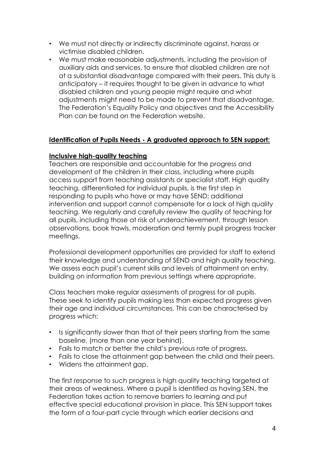- We must not directly or indirectly discriminate against, harass or victimise disabled children.
- We must make reasonable adjustments, including the provision of auxiliary aids and services, to ensure that disabled children are not at a substantial disadvantage compared with their peers. This duty is anticipatory – it requires thought to be given in advance to what disabled children and young people might require and what adjustments might need to be made to prevent that disadvantage. The Federation's Equality Policy and objectives and the Accessibility Plan can be found on the Federation website.

#### **Identification of Pupils Needs - A graduated approach to SEN support:**

#### **Inclusive high-quality teaching**

Teachers are responsible and accountable for the progress and development of the children in their class, including where pupils access support from teaching assistants or specialist staff. High quality teaching, differentiated for individual pupils, is the first step in responding to pupils who have or may have SEND; additional intervention and support cannot compensate for a lack of high quality teaching. We regularly and carefully review the quality of teaching for all pupils, including those at risk of underachievement, through lesson observations, book trawls, moderation and termly pupil progress tracker meetings.

Professional development opportunities are provided for staff to extend their knowledge and understanding of SEND and high quality teaching. We assess each pupil's current skills and levels of attainment on entry, building on information from previous settings where appropriate.

Class teachers make regular assessments of progress for all pupils. These seek to identify pupils making less than expected progress given their age and individual circumstances. This can be characterised by progress which:

- Is significantly slower than that of their peers starting from the same baseline, (more than one year behind).
- Fails to match or better the child's previous rate of progress.
- Fails to close the attainment gap between the child and their peers.
- Widens the attainment gap.

The first response to such progress is high quality teaching targeted at their areas of weakness. Where a pupil is identified as having SEN, the Federation takes action to remove barriers to learning and put effective special educational provision in place. This SEN support takes the form of a four-part cycle through which earlier decisions and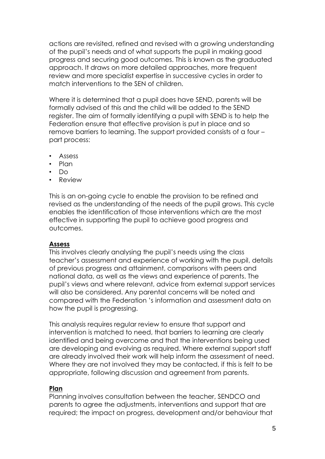actions are revisited, refined and revised with a growing understanding of the pupil's needs and of what supports the pupil in making good progress and securing good outcomes. This is known as the graduated approach. It draws on more detailed approaches, more frequent review and more specialist expertise in successive cycles in order to match interventions to the SEN of children.

Where it is determined that a pupil does have SEND, parents will be formally advised of this and the child will be added to the SEND register. The aim of formally identifying a pupil with SEND is to help the Federation ensure that effective provision is put in place and so remove barriers to learning. The support provided consists of a four – part process:

- Assess
- Plan
- Do
- Review

This is an on-going cycle to enable the provision to be refined and revised as the understanding of the needs of the pupil grows. This cycle enables the identification of those interventions which are the most effective in supporting the pupil to achieve good progress and outcomes.

#### **Assess**

This involves clearly analysing the pupil's needs using the class teacher's assessment and experience of working with the pupil, details of previous progress and attainment, comparisons with peers and national data, as well as the views and experience of parents. The pupil's views and where relevant, advice from external support services will also be considered. Any parental concerns will be noted and compared with the Federation 's information and assessment data on how the pupil is progressing.

This analysis requires regular review to ensure that support and intervention is matched to need, that barriers to learning are clearly identified and being overcome and that the interventions being used are developing and evolving as required. Where external support staff are already involved their work will help inform the assessment of need. Where they are not involved they may be contacted, if this is felt to be appropriate, following discussion and agreement from parents.

#### **Plan**

Planning involves consultation between the teacher, SENDCO and parents to agree the adjustments, interventions and support that are required; the impact on progress, development and/or behaviour that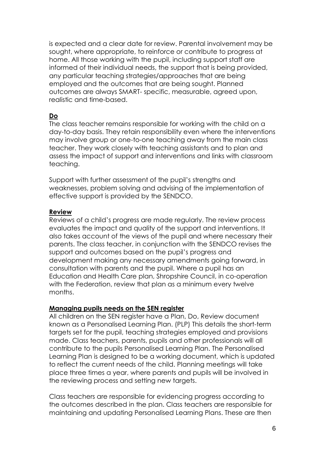is expected and a clear date for review. Parental involvement may be sought, where appropriate, to reinforce or contribute to progress at home. All those working with the pupil, including support staff are informed of their individual needs, the support that is being provided, any particular teaching strategies/approaches that are being employed and the outcomes that are being sought. Planned outcomes are always SMART- specific, measurable, agreed upon, realistic and time-based.

# **Do**

The class teacher remains responsible for working with the child on a day-to-day basis. They retain responsibility even where the interventions may involve group or one-to-one teaching away from the main class teacher. They work closely with teaching assistants and to plan and assess the impact of support and interventions and links with classroom teaching.

Support with further assessment of the pupil's strengths and weaknesses, problem solving and advising of the implementation of effective support is provided by the SENDCO.

#### **Review**

Reviews of a child's progress are made regularly. The review process evaluates the impact and quality of the support and interventions. It also takes account of the views of the pupil and where necessary their parents. The class teacher, in conjunction with the SENDCO revises the support and outcomes based on the pupil's progress and development making any necessary amendments going forward, in consultation with parents and the pupil. Where a pupil has an Education and Health Care plan, Shropshire Council, in co-operation with the Federation, review that plan as a minimum every twelve months.

# **Managing pupils needs on the SEN register**

All children on the SEN register have a Plan, Do, Review document known as a Personalised Learning Plan. (PLP) This details the short-term targets set for the pupil, teaching strategies employed and provisions made. Class teachers, parents, pupils and other professionals will all contribute to the pupils Personalised Learning Plan. The Personalised Learning Plan is designed to be a working document, which is updated to reflect the current needs of the child. Planning meetings will take place three times a year, where parents and pupils will be involved in the reviewing process and setting new targets.

Class teachers are responsible for evidencing progress according to the outcomes described in the plan. Class teachers are responsible for maintaining and updating Personalised Learning Plans. These are then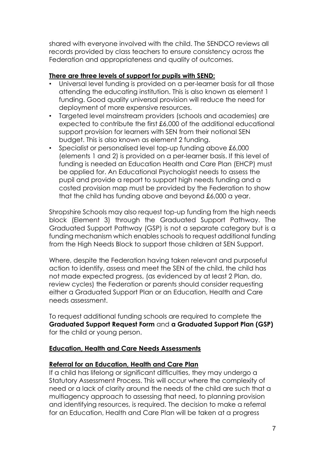shared with everyone involved with the child. The SENDCO reviews all records provided by class teachers to ensure consistency across the Federation and appropriateness and quality of outcomes.

## **There are three levels of support for pupils with SEND:**

- Universal level funding is provided on a per-learner basis for all those attending the educating institution. This is also known as element 1 funding. Good quality universal provision will reduce the need for deployment of more expensive resources.
- Targeted level mainstream providers (schools and academies) are expected to contribute the first £6,000 of the additional educational support provision for learners with SEN from their notional SEN budget. This is also known as element 2 funding.
- Specialist or personalised level top-up funding above £6,000 (elements 1 and 2) is provided on a per-learner basis. If this level of funding is needed an Education Health and Care Plan (EHCP) must be applied for. An Educational Psychologist needs to assess the pupil and provide a report to support high needs funding and a costed provision map must be provided by the Federation to show that the child has funding above and beyond £6,000 a year.

Shropshire Schools may also request top-up funding from the high needs block (Element 3) through the Graduated Support Pathway. The Graduated Support Pathway (GSP) is not a separate category but is a funding mechanism which enables schools to request additional funding from the High Needs Block to support those children at SEN Support.

Where, despite the Federation having taken relevant and purposeful action to identify, assess and meet the SEN of the child, the child has not made expected progress, (as evidenced by at least 2 Plan, do, review cycles) the Federation or parents should consider requesting either a Graduated Support Plan or an Education, Health and Care needs assessment.

To request additional funding schools are required to complete the **Graduated Support Request Form** and **a Graduated Support Plan (GSP)** for the child or young person.

# **Education, Health and Care Needs Assessments**

#### **Referral for an Education, Health and Care Plan**

If a child has lifelong or significant difficulties, they may undergo a Statutory Assessment Process. This will occur where the complexity of need or a lack of clarity around the needs of the child are such that a multiagency approach to assessing that need, to planning provision and identifying resources, is required. The decision to make a referral for an Education, Health and Care Plan will be taken at a progress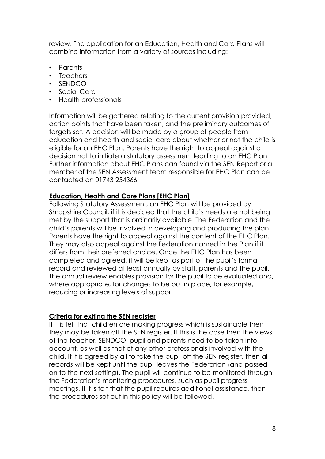review. The application for an Education, Health and Care Plans will combine information from a variety of sources including:

- Parents
- Teachers
- SENDCO
- Social Care
- Health professionals

Information will be gathered relating to the current provision provided, action points that have been taken, and the preliminary outcomes of targets set. A decision will be made by a group of people from education and health and social care about whether or not the child is eligible for an EHC Plan. Parents have the right to appeal against a decision not to initiate a statutory assessment leading to an EHC Plan. Further information about EHC Plans can found via the SEN Report or a member of the SEN Assessment team responsible for EHC Plan can be contacted on 01743 254366.

#### **Education, Health and Care Plans [EHC Plan]**

Following Statutory Assessment, an EHC Plan will be provided by Shropshire Council, if it is decided that the child's needs are not being met by the support that is ordinarily available. The Federation and the child's parents will be involved in developing and producing the plan. Parents have the right to appeal against the content of the EHC Plan. They may also appeal against the Federation named in the Plan if it differs from their preferred choice. Once the EHC Plan has been completed and agreed, it will be kept as part of the pupil's formal record and reviewed at least annually by staff, parents and the pupil. The annual review enables provision for the pupil to be evaluated and, where appropriate, for changes to be put in place, for example, reducing or increasing levels of support.

#### **Criteria for exiting the SEN register**

If it is felt that children are making progress which is sustainable then they may be taken off the SEN register. If this is the case then the views of the teacher, SENDCO, pupil and parents need to be taken into account, as well as that of any other professionals involved with the child. If it is agreed by all to take the pupil off the SEN register, then all records will be kept until the pupil leaves the Federation (and passed on to the next setting). The pupil will continue to be monitored through the Federation's monitoring procedures, such as pupil progress meetings. If it is felt that the pupil requires additional assistance, then the procedures set out in this policy will be followed.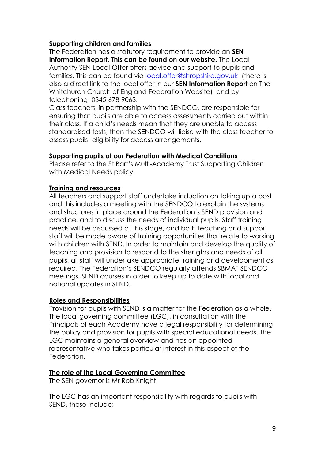#### **Supporting children and families**

The Federation has a statutory requirement to provide an **SEN Information Report. This can be found on our website.** The Local Authority SEN Local Offer offers advice and support to pupils and families. This can be found via [local.offer@shropshire.gov.uk](mailto:local.offer@shropshire.gov.uk) (there is also a direct link to the local offer in our **SEN Information Report** on The Whitchurch Church of England Federation Website) and by telephoning- 0345-678-9063.

Class teachers, in partnership with the SENDCO, are responsible for ensuring that pupils are able to access assessments carried out within their class. If a child's needs mean that they are unable to access standardised tests, then the SENDCO will liaise with the class teacher to assess pupils' eligibility for access arrangements.

#### **Supporting pupils at our Federation with Medical Conditions**

Please refer to the St Bart's Multi-Academy Trust Supporting Children with Medical Needs policy.

# **Training and resources**

All teachers and support staff undertake induction on taking up a post and this includes a meeting with the SENDCO to explain the systems and structures in place around the Federation's SEND provision and practice, and to discuss the needs of individual pupils. Staff training needs will be discussed at this stage, and both teaching and support staff will be made aware of training opportunities that relate to working with children with SEND. In order to maintain and develop the quality of teaching and provision to respond to the strengths and needs of all pupils, all staff will undertake appropriate training and development as required. The Federation's SENDCO regularly attends SBMAT SENDCO meetings, SEND courses in order to keep up to date with local and national updates in SEND.

# **Roles and Responsibilities**

Provision for pupils with SEND is a matter for the Federation as a whole. The local governing committee (LGC), in consultation with the Principals of each Academy have a legal responsibility for determining the policy and provision for pupils with special educational needs. The LGC maintains a general overview and has an appointed representative who takes particular interest in this aspect of the Federation.

# **The role of the Local Governing Committee**

The SEN governor is Mr Rob Knight

The LGC has an important responsibility with regards to pupils with SEND, these include: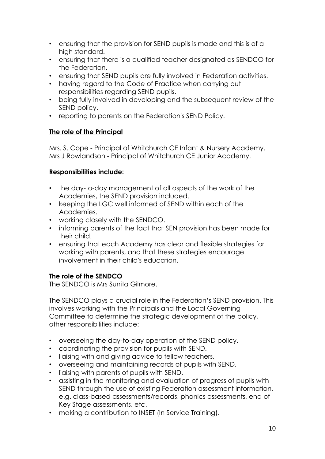- ensuring that the provision for SEND pupils is made and this is of a high standard.
- ensuring that there is a qualified teacher designated as SENDCO for the Federation.
- ensuring that SEND pupils are fully involved in Federation activities.
- having regard to the Code of Practice when carrying out responsibilities regarding SEND pupils.
- being fully involved in developing and the subsequent review of the SEND policy.
- reporting to parents on the Federation's SEND Policy.

#### **The role of the Principal**

Mrs. S. Cope - Principal of Whitchurch CE Infant & Nursery Academy. Mrs J Rowlandson - Principal of Whitchurch CE Junior Academy.

# **Responsibilities include:**

- the day-to-day management of all aspects of the work of the Academies, the SEND provision included.
- keeping the LGC well informed of SEND within each of the Academies.
- working closely with the SENDCO.
- informing parents of the fact that SEN provision has been made for their child.
- ensuring that each Academy has clear and flexible strategies for working with parents, and that these strategies encourage involvement in their child's education.

# **The role of the SENDCO**

The SENDCO is Mrs Sunita Gilmore.

The SENDCO plays a crucial role in the Federation's SEND provision. This involves working with the Principals and the Local Governing Committee to determine the strategic development of the policy, other responsibilities include:

- overseeing the day-to-day operation of the SEND policy.
- coordinating the provision for pupils with SEND.
- liaising with and giving advice to fellow teachers.
- overseeing and maintaining records of pupils with SEND.
- liaising with parents of pupils with SEND.
- assisting in the monitoring and evaluation of progress of pupils with SEND through the use of existing Federation assessment information, e.g. class-based assessments/records, phonics assessments, end of Key Stage assessments, etc.
- making a contribution to INSET (In Service Training).